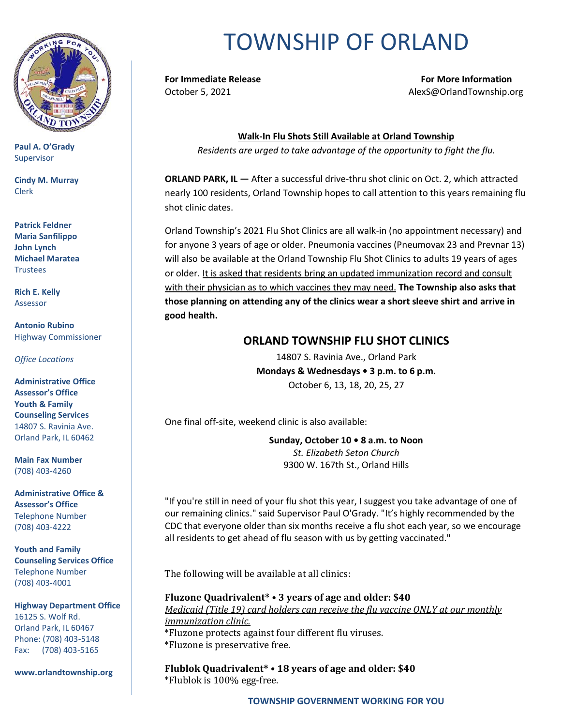

**Paul A. O'Grady** Supervisor

**Cindy M. Murray** Clerk

**Patrick Feldner Maria Sanfilippo John Lynch Michael Maratea** Trustees

**Rich E. Kelly** Assessor

**Antonio Rubino** Highway Commissioner

*Office Locations*

**Administrative Office Assessor's Office Youth & Family Counseling Services** 14807 S. Ravinia Ave. Orland Park, IL 60462

**Main Fax Number**  (708) 403-4260

**Administrative Office & Assessor's Office**  Telephone Number (708) 403-4222

**Youth and Family Counseling Services Office**  Telephone Number (708) 403-4001

**Highway Department Office** 16125 S. Wolf Rd. Orland Park, IL 60467 Phone: (708) 403-5148 Fax: (708) 403-5165

**www.orlandtownship.org**

## TOWNSHIP OF ORLAND

**For Immediate Release For More Information** October 5, 2021 AlexS@OrlandTownship.org

**Walk-In Flu Shots Still Available at Orland Township** 

*Residents are urged to take advantage of the opportunity to fight the flu.*

**ORLAND PARK, IL —** After a successful drive-thru shot clinic on Oct. 2, which attracted nearly 100 residents, Orland Township hopes to call attention to this years remaining flu shot clinic dates.

Orland Township's 2021 Flu Shot Clinics are all walk-in (no appointment necessary) and for anyone 3 years of age or older. Pneumonia vaccines (Pneumovax 23 and Prevnar 13) will also be available at the Orland Township Flu Shot Clinics to adults 19 years of ages or older. It is asked that residents bring an updated immunization record and consult with their physician as to which vaccines they may need. **The Township also asks that those planning on attending any of the clinics wear a short sleeve shirt and arrive in good health.**

## **ORLAND TOWNSHIP FLU SHOT CLINICS**

14807 S. Ravinia Ave., Orland Park **Mondays & Wednesdays • 3 p.m. to 6 p.m.** October 6, 13, 18, 20, 25, 27

One final off-site, weekend clinic is also available:

**Sunday, October 10 • 8 a.m. to Noon**  *St. Elizabeth Seton Church*  9300 W. 167th St., Orland Hills

"If you're still in need of your flu shot this year, I suggest you take advantage of one of our remaining clinics." said Supervisor Paul O'Grady. "It's highly recommended by the CDC that everyone older than six months receive a flu shot each year, so we encourage all residents to get ahead of flu season with us by getting vaccinated."

The following will be available at all clinics:

**Fluzone Quadrivalent\* • 3 years of age and older: \$40**  *Medicaid (Title 19) card holders can receive the flu vaccine ONLY at our monthly immunization clinic.*  \*Fluzone protects against four different flu viruses. \*Fluzone is preservative free.

**Flublok Quadrivalent\* • 18 years of age and older: \$40**  \*Flublok is 100% egg-free.